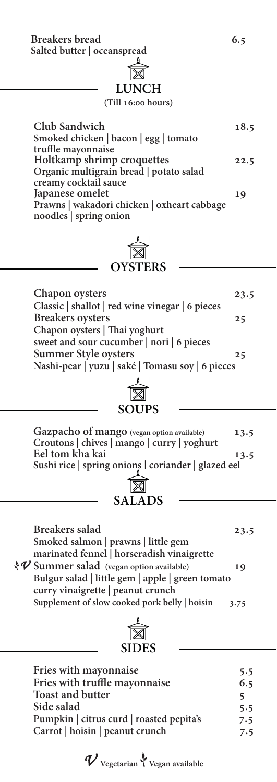**Breakers bread 6.5**

**Salted butter | oceanspread**

### **LUNCH**

### **(Till 16:00 hours)**

| Club Sandwich                               | 18.5 |
|---------------------------------------------|------|
| Smoked chicken   bacon   egg   tomato       |      |
| truffle mayonnaise                          |      |
| Holtkamp shrimp croquettes                  | 22.5 |
| Organic multigrain bread   potato salad     |      |
| creamy cocktail sauce                       |      |
| Japanese omelet<br>19                       |      |
| Prawns   wakadori chicken   oxheart cabbage |      |
| noodles   spring onion                      |      |

## **OYSTERS**

| Chapon oysters                                   | 23.5 |
|--------------------------------------------------|------|
| Classic   shallot   red wine vinegar   6 pieces  |      |
| <b>Breakers</b> oysters                          | 25   |
| Chapon oysters   Thai yoghurt                    |      |
| sweet and sour cucumber   nori   6 pieces        |      |
| Summer Style oysters                             | 25   |
| Nashi-pear   yuzu   saké   Tomasu soy   6 pieces |      |
|                                                  |      |

| Gazpacho of mango (vegan option available)  |  |                                                     | 13.5 |
|---------------------------------------------|--|-----------------------------------------------------|------|
| Croutons   chives   mango   curry   yoghurt |  |                                                     |      |
| Eel tom kha kai                             |  |                                                     | 13.5 |
|                                             |  | Sushi rice   spring onions   coriander   glazed eel |      |

**SOUPS**

<u>r</u>

| $\boxtimes$ |  |
|-------------|--|
| SALADS      |  |

| <b>Breakers salad</b>                               | 23.5 |
|-----------------------------------------------------|------|
| Smoked salmon   prawns   little gem                 |      |
| marinated fennel   horseradish vinaigrette          |      |
| $\mathcal{V}$ Summer salad (vegan option available) | 19   |
| Bulgur salad   little gem   apple   green tomato    |      |
| curry vinaigrette   peanut crunch                   |      |
| Supplement of slow cooked pork belly   hoisin       | 3.75 |
|                                                     |      |



| Fries with mayonnaise                    | 5.5 |
|------------------------------------------|-----|
| Fries with truffle mayonnaise            | 6.5 |
| <b>Toast and butter</b>                  | 5   |
| Side salad                               | 5.5 |
| Pumpkin   citrus curd   roasted pepita's | 7.5 |
| Carrot   hoisin   peanut crunch          | 7.5 |

 ${\mathcal V}$  Vegetarian  $\mathcal V$  Vegan available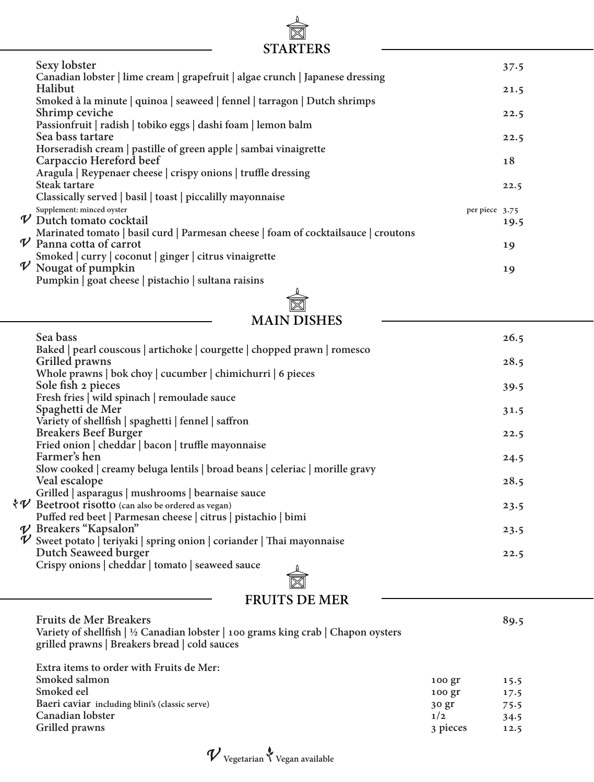# **STARTERS**

|                            | Sexy lobster                                                                                                                                                          | 37.5 |
|----------------------------|-----------------------------------------------------------------------------------------------------------------------------------------------------------------------|------|
|                            | Canadian lobster   lime cream   grapefruit   algae crunch   Japanese dressing<br>Halibut<br>Smoked à la minute   quinoa   seaweed   fennel   tarragon   Dutch shrimps | 21.5 |
|                            | Shrimp ceviche                                                                                                                                                        | 22.5 |
|                            | Passionfruit   radish   tobiko eggs   dashi foam   lemon balm<br>Sea bass tartare                                                                                     | 22.5 |
|                            | Horseradish cream   pastille of green apple   sambai vinaigrette<br>Carpaccio Hereford beef                                                                           | 18   |
|                            | Aragula   Reypenaer cheese   crispy onions   truffle dressing<br>Steak tartare                                                                                        | 22.5 |
|                            | Classically served   basil   toast   piccalilly mayonnaise                                                                                                            |      |
|                            | Supplement: minced oyster<br>per piece 3.75<br>$\nu$ Dutch tomato cocktail                                                                                            | 19.5 |
| $\boldsymbol{\mathcal{V}}$ | Marinated tomato   basil curd   Parmesan cheese   foam of cocktailsauce   croutons<br>Panna cotta of carrot                                                           | 19   |
| $\mathcal V$               | Smoked   curry   coconut   ginger   citrus vinaigrette<br>Nougat of pumpkin                                                                                           |      |
|                            | Pumpkin   goat cheese   pistachio   sultana raisins                                                                                                                   | 19   |

**MAIN DISHES**

| Sea bass                                                                     | 26.5 |
|------------------------------------------------------------------------------|------|
| Baked   pearl couscous   artichoke   courgette   chopped prawn   romesco     |      |
| Grilled prawns                                                               | 28.5 |
| Whole prawns   bok choy   cucumber   chimichurri   6 pieces                  |      |
| Sole fish 2 pieces                                                           | 39.5 |
| Fresh fries   wild spinach   remoulade sauce                                 |      |
| Spaghetti de Mer                                                             | 31.5 |
| Variety of shellfish   spaghetti   fennel   saffron                          |      |
| <b>Breakers Beef Burger</b>                                                  | 22.5 |
| Fried onion   cheddar   bacon   truffle mayonnaise                           |      |
| Farmer's hen                                                                 | 24.5 |
| Slow cooked   creamy beluga lentils   broad beans   celeriac   morille gravy |      |
| Veal escalope                                                                | 28.5 |
| Grilled   asparagus   mushrooms   bearnaise sauce                            |      |
| $\nu$ Beetroot risotto (can also be ordered as vegan)                        | 23.5 |
| Puffed red beet   Parmesan cheese   citrus   pistachio   bimi                |      |
| $\nu$ Breakers "Kapsalon"                                                    | 23.5 |
| $\nu$ Sweet potato   teriyaki   spring onion   coriander   Thai mayonnaise   |      |
| Dutch Seaweed burger                                                         | 22.5 |
| Crispy onions   cheddar   tomato   seaweed sauce                             |      |
|                                                                              |      |
|                                                                              |      |

 $\begin{matrix} \mathbf{r} \end{matrix}$ 

### **FRUITS DE MER**

| <b>Fruits de Mer Breakers</b><br>Variety of shellfish $\frac{1}{2}$ Canadian lobster $\frac{1}{2}$ 100 grams king crab $\frac{1}{2}$ Chapon oysters<br>grilled prawns   Breakers bread   cold sauces |          | 89.5 |
|------------------------------------------------------------------------------------------------------------------------------------------------------------------------------------------------------|----------|------|
| Extra items to order with Fruits de Mer:                                                                                                                                                             |          |      |
| Smoked salmon                                                                                                                                                                                        | $100$ gr | 15.5 |
| Smoked eel                                                                                                                                                                                           | 100 gr   | 17.5 |
| Baeri caviar including blini's (classic serve)                                                                                                                                                       | 30 gr    | 75.5 |
| Canadian lobster                                                                                                                                                                                     | 1/2      | 34.5 |
| Grilled prawns                                                                                                                                                                                       | 3 pieces | 12.5 |

 $\boldsymbol{\mathcal{V}}$ Vegetarian $\boldsymbol{\mathcal{V}}$ Vegan available